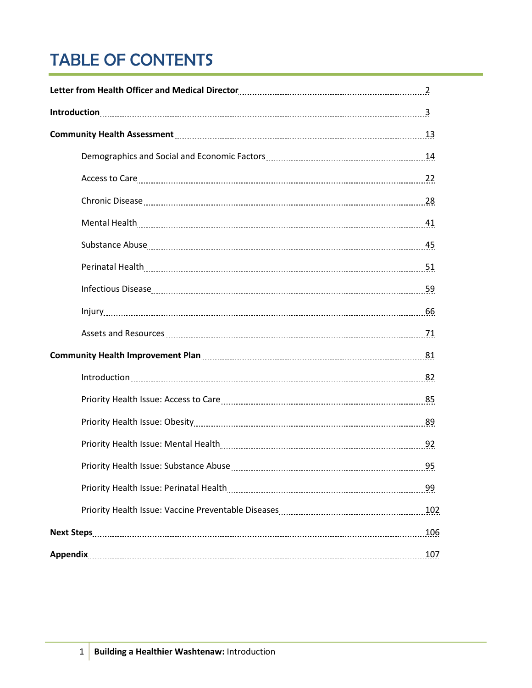# TABLE OF CONTENTS

| Letter from Health Officer and Medical Director<br>2                                                            |
|-----------------------------------------------------------------------------------------------------------------|
|                                                                                                                 |
| Community Health Assessment 13                                                                                  |
|                                                                                                                 |
| Access to Care 22                                                                                               |
|                                                                                                                 |
|                                                                                                                 |
|                                                                                                                 |
|                                                                                                                 |
| Infectious Disease 59                                                                                           |
|                                                                                                                 |
|                                                                                                                 |
| Community Health Improvement Plan [11] Community Health Improvement Plan [11] Community Health Improvement Plan |
| lntroduction 22                                                                                                 |
|                                                                                                                 |
|                                                                                                                 |
|                                                                                                                 |
|                                                                                                                 |
| 99                                                                                                              |
| 102                                                                                                             |
| 106                                                                                                             |
| 107                                                                                                             |
|                                                                                                                 |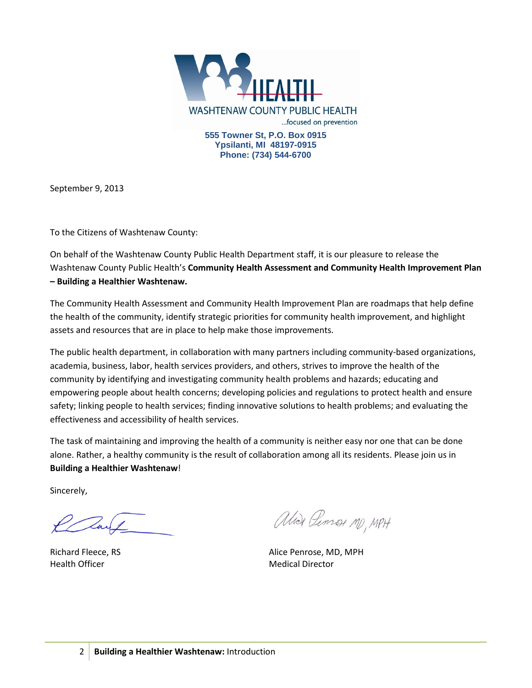

September 9, 2013

To the Citizens of Washtenaw County:

On behalf of the Washtenaw County Public Health Department staff, it is our pleasure to release the Washtenaw County Public Health's **Community Health Assessment and Community Health Improvement Plan – Building a Healthier Washtenaw.**

The Community Health Assessment and Community Health Improvement Plan are roadmaps that help define the health of the community, identify strategic priorities for community health improvement, and highlight assets and resources that are in place to help make those improvements.

The public health department, in collaboration with many partners including community-based organizations, academia, business, labor, health services providers, and others, strives to improve the health of the community by identifying and investigating community health problems and hazards; educating and empowering people about health concerns; developing policies and regulations to protect health and ensure safety; linking people to health services; finding innovative solutions to health problems; and evaluating the effectiveness and accessibility of health services.

The task of maintaining and improving the health of a community is neither easy nor one that can be done alone. Rather, a healthy community is the result of collaboration among all its residents. Please join us in **Building a Healthier Washtenaw**!

Sincerely,

Health Officer **Medical Director** Medical Director

Alier Penson MD, MPH

Richard Fleece, RS Alice Penrose, MD, MPH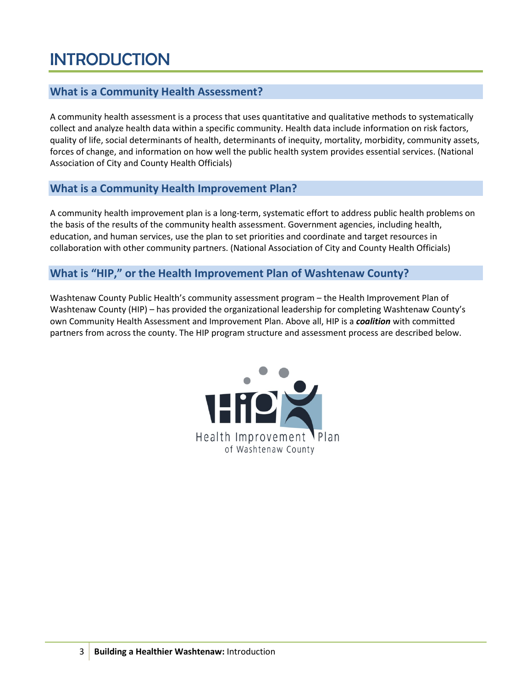# INTRODUCTION

# **What is a Community Health Assessment?**

A community health assessment is a process that uses quantitative and qualitative methods to systematically collect and analyze health data within a specific community. Health data include information on risk factors, quality of life, social determinants of health, determinants of inequity, mortality, morbidity, community assets, forces of change, and information on how well the public health system provides essential services. (National Association of City and County Health Officials)

# **What is a Community Health Improvement Plan?**

A community health improvement plan is a long-term, systematic effort to address public health problems on the basis of the results of the community health assessment. Government agencies, including health, education, and human services, use the plan to set priorities and coordinate and target resources in collaboration with other community partners. (National Association of City and County Health Officials)

## **What is "HIP," or the Health Improvement Plan of Washtenaw County?**

Washtenaw County Public Health's community assessment program – the Health Improvement Plan of Washtenaw County (HIP) – has provided the organizational leadership for completing Washtenaw County's own Community Health Assessment and Improvement Plan. Above all, HIP is a *coalition* with committed partners from across the county. The HIP program structure and assessment process are described below.

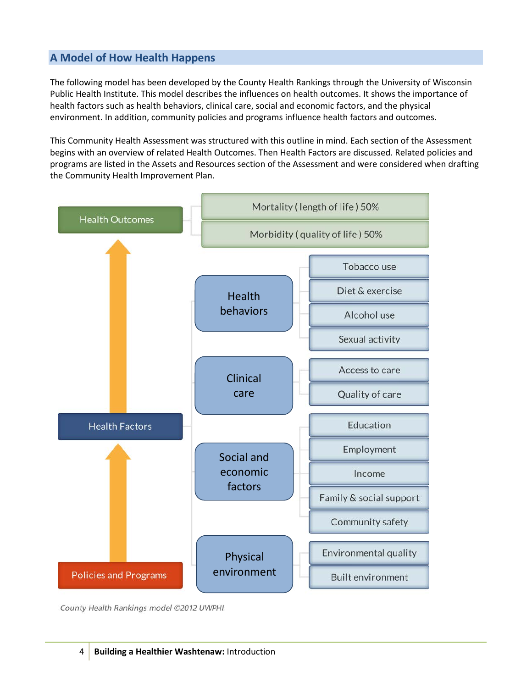# **A Model of How Health Happens**

The following model has been developed by the County Health Rankings through the University of Wisconsin Public Health Institute. This model describes the influences on health outcomes. It shows the importance of health factors such as health behaviors, clinical care, social and economic factors, and the physical environment. In addition, community policies and programs influence health factors and outcomes.

This Community Health Assessment was structured with this outline in mind. Each section of the Assessment begins with an overview of related Health Outcomes. Then Health Factors are discussed. Related policies and programs are listed in the Assets and Resources section of the Assessment and were considered when drafting the Community Health Improvement Plan.



County Health Rankings model ©2012 UWPHI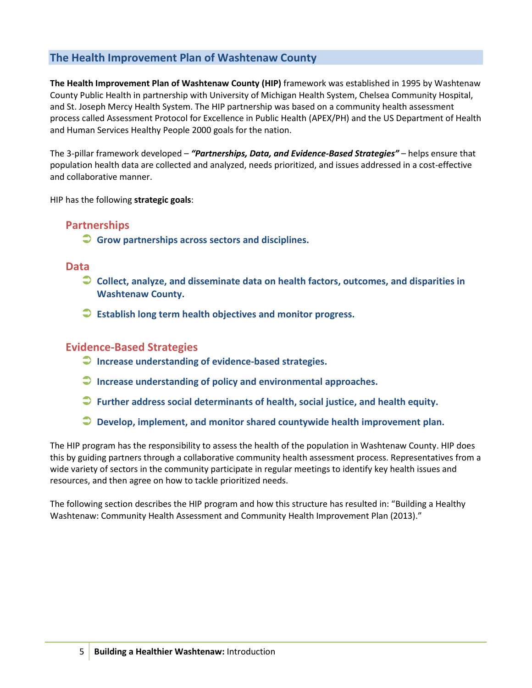# **The Health Improvement Plan of Washtenaw County**

**The Health Improvement Plan of Washtenaw County (HIP)** framework was established in 1995 by Washtenaw County Public Health in partnership with University of Michigan Health System, Chelsea Community Hospital, and St. Joseph Mercy Health System. The HIP partnership was based on a community health assessment process called Assessment Protocol for Excellence in Public Health (APEX/PH) and the US Department of Health and Human Services Healthy People 2000 goals for the nation.

The 3-pillar framework developed – *"Partnerships, Data, and Evidence-Based Strategies"* – helps ensure that population health data are collected and analyzed, needs prioritized, and issues addressed in a cost-effective and collaborative manner.

HIP has the following **strategic goals**:

# **Partnerships**

**Grow partnerships across sectors and disciplines.**

## **Data**

- **Collect, analyze, and disseminate data on health factors, outcomes, and disparities in Washtenaw County.**
- **Establish long term health objectives and monitor progress.**

## **Evidence-Based Strategies**

- **Increase understanding of evidence-based strategies.**
- **Increase understanding of policy and environmental approaches.**
- **Further address social determinants of health, social justice, and health equity.**
- **Develop, implement, and monitor shared countywide health improvement plan.**

The HIP program has the responsibility to assess the health of the population in Washtenaw County. HIP does this by guiding partners through a collaborative community health assessment process. Representatives from a wide variety of sectors in the community participate in regular meetings to identify key health issues and resources, and then agree on how to tackle prioritized needs.

The following section describes the HIP program and how this structure has resulted in: "Building a Healthy Washtenaw: Community Health Assessment and Community Health Improvement Plan (2013)."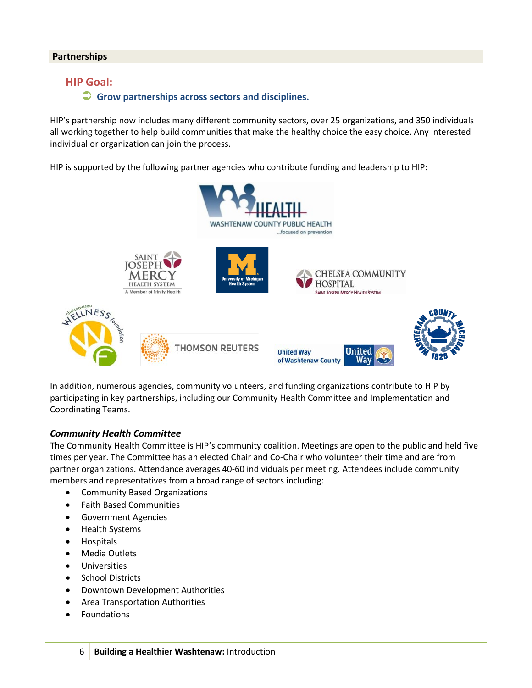#### **Partnerships**

## **HIP Goal:**

#### **Grow partnerships across sectors and disciplines.**

HIP's partnership now includes many different community sectors, over 25 organizations, and 350 individuals all working together to help build communities that make the healthy choice the easy choice. Any interested individual or organization can join the process.

HIP is supported by the following partner agencies who contribute funding and leadership to HIP:



In addition, numerous agencies, community volunteers, and funding organizations contribute to HIP by participating in key partnerships, including our Community Health Committee and Implementation and Coordinating Teams.

#### *Community Health Committee*

The Community Health Committee is HIP's community coalition. Meetings are open to the public and held five times per year. The Committee has an elected Chair and Co-Chair who volunteer their time and are from partner organizations. Attendance averages 40-60 individuals per meeting. Attendees include community members and representatives from a broad range of sectors including:

- Community Based Organizations
- Faith Based Communities
- Government Agencies
- Health Systems
- Hospitals
- Media Outlets
- Universities
- School Districts
- Downtown Development Authorities
- Area Transportation Authorities
- **Foundations**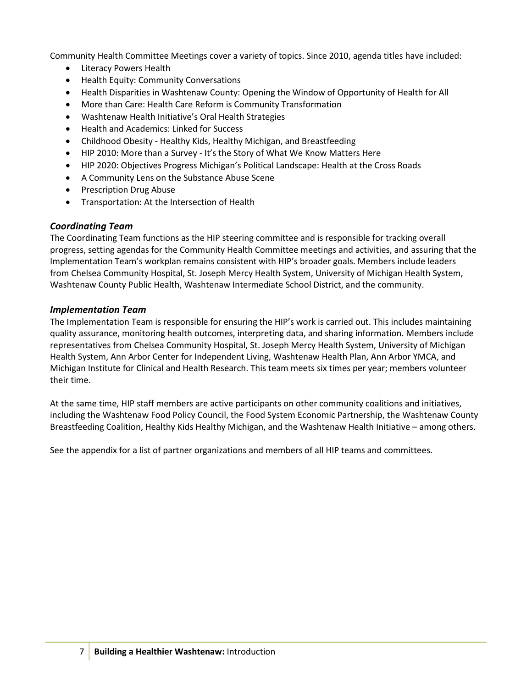Community Health Committee Meetings cover a variety of topics. Since 2010, agenda titles have included:

- Literacy Powers Health
- Health Equity: Community Conversations
- Health Disparities in Washtenaw County: Opening the Window of Opportunity of Health for All
- More than Care: Health Care Reform is Community Transformation
- Washtenaw Health Initiative's Oral Health Strategies
- Health and Academics: Linked for Success
- Childhood Obesity Healthy Kids, Healthy Michigan, and Breastfeeding
- HIP 2010: More than a Survey It's the Story of What We Know Matters Here
- HIP 2020: Objectives Progress Michigan's Political Landscape: Health at the Cross Roads
- A Community Lens on the Substance Abuse Scene
- Prescription Drug Abuse
- Transportation: At the Intersection of Health

## *Coordinating Team*

The Coordinating Team functions as the HIP steering committee and is responsible for tracking overall progress, setting agendas for the Community Health Committee meetings and activities, and assuring that the Implementation Team's workplan remains consistent with HIP's broader goals. Members include leaders from Chelsea Community Hospital, St. Joseph Mercy Health System, University of Michigan Health System, Washtenaw County Public Health, Washtenaw Intermediate School District, and the community.

### *Implementation Team*

The Implementation Team is responsible for ensuring the HIP's work is carried out. This includes maintaining quality assurance, monitoring health outcomes, interpreting data, and sharing information. Members include representatives from Chelsea Community Hospital, St. Joseph Mercy Health System, University of Michigan Health System, Ann Arbor Center for Independent Living, Washtenaw Health Plan, Ann Arbor YMCA, and Michigan Institute for Clinical and Health Research. This team meets six times per year; members volunteer their time.

At the same time, HIP staff members are active participants on other community coalitions and initiatives, including the Washtenaw Food Policy Council, the Food System Economic Partnership, the Washtenaw County Breastfeeding Coalition, Healthy Kids Healthy Michigan, and the Washtenaw Health Initiative – among others.

See the appendix for a list of partner organizations and members of all HIP teams and committees.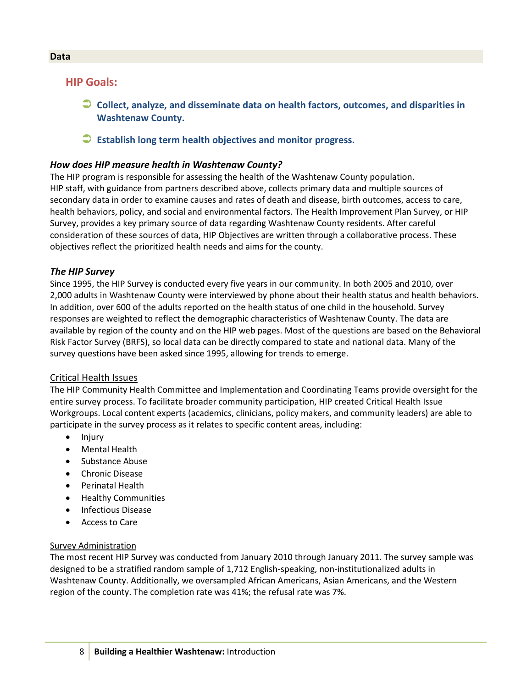## **HIP Goals:**

- **Collect, analyze, and disseminate data on health factors, outcomes, and disparities in Washtenaw County.**
- **Establish long term health objectives and monitor progress.**

### *How does HIP measure health in Washtenaw County?*

The HIP program is responsible for assessing the health of the Washtenaw County population. HIP staff, with guidance from partners described above, collects primary data and multiple sources of secondary data in order to examine causes and rates of death and disease, birth outcomes, access to care, health behaviors, policy, and social and environmental factors. The Health Improvement Plan Survey, or HIP Survey, provides a key primary source of data regarding Washtenaw County residents. After careful consideration of these sources of data, HIP Objectives are written through a collaborative process. These objectives reflect the prioritized health needs and aims for the county.

#### *The HIP Survey*

Since 1995, the HIP Survey is conducted every five years in our community. In both 2005 and 2010, over 2,000 adults in Washtenaw County were interviewed by phone about their health status and health behaviors. In addition, over 600 of the adults reported on the health status of one child in the household. Survey responses are weighted to reflect the demographic characteristics of Washtenaw County. The data are available by region of the county and on the HIP web pages. Most of the questions are based on the Behavioral Risk Factor Survey (BRFS), so local data can be directly compared to state and national data. Many of the survey questions have been asked since 1995, allowing for trends to emerge.

#### Critical Health Issues

The HIP Community Health Committee and Implementation and Coordinating Teams provide oversight for the entire survey process. To facilitate broader community participation, HIP created Critical Health Issue Workgroups. Local content experts (academics, clinicians, policy makers, and community leaders) are able to participate in the survey process as it relates to specific content areas, including:

- Injury
- Mental Health
- Substance Abuse
- Chronic Disease
- Perinatal Health
- Healthy Communities
- Infectious Disease
- Access to Care

#### Survey Administration

The most recent HIP Survey was conducted from January 2010 through January 2011. The survey sample was designed to be a stratified random sample of 1,712 English-speaking, non-institutionalized adults in Washtenaw County. Additionally, we oversampled African Americans, Asian Americans, and the Western region of the county. The completion rate was 41%; the refusal rate was 7%.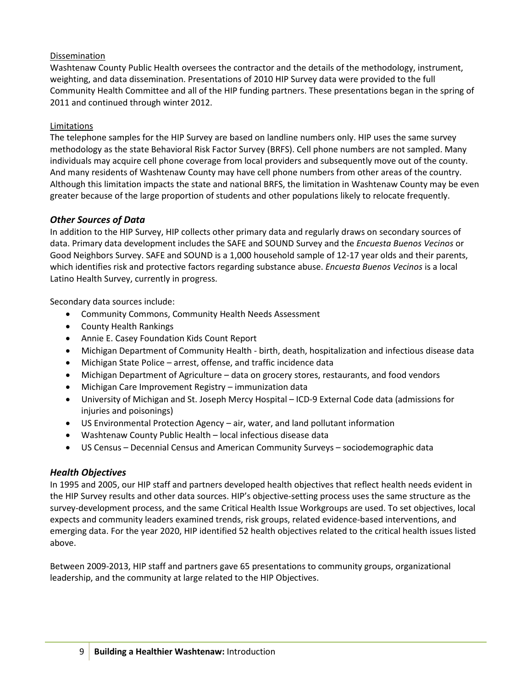### Dissemination

Washtenaw County Public Health oversees the contractor and the details of the methodology, instrument, weighting, and data dissemination. Presentations of 2010 HIP Survey data were provided to the full Community Health Committee and all of the HIP funding partners. These presentations began in the spring of 2011 and continued through winter 2012.

## Limitations

The telephone samples for the HIP Survey are based on landline numbers only. HIP uses the same survey methodology as the state Behavioral Risk Factor Survey (BRFS). Cell phone numbers are not sampled. Many individuals may acquire cell phone coverage from local providers and subsequently move out of the county. And many residents of Washtenaw County may have cell phone numbers from other areas of the country. Although this limitation impacts the state and national BRFS, the limitation in Washtenaw County may be even greater because of the large proportion of students and other populations likely to relocate frequently.

## *Other Sources of Data*

In addition to the HIP Survey, HIP collects other primary data and regularly draws on secondary sources of data. Primary data development includes the SAFE and SOUND Survey and the *Encuesta Buenos Vecinos* or Good Neighbors Survey. SAFE and SOUND is a 1,000 household sample of 12-17 year olds and their parents, which identifies risk and protective factors regarding substance abuse. *Encuesta Buenos Vecinos* is a local Latino Health Survey, currently in progress.

Secondary data sources include:

- Community Commons, Community Health Needs Assessment
- County Health Rankings
- Annie E. Casey Foundation Kids Count Report
- Michigan Department of Community Health birth, death, hospitalization and infectious disease data
- Michigan State Police arrest, offense, and traffic incidence data
- Michigan Department of Agriculture data on grocery stores, restaurants, and food vendors
- Michigan Care Improvement Registry immunization data
- University of Michigan and St. Joseph Mercy Hospital ICD-9 External Code data (admissions for injuries and poisonings)
- US Environmental Protection Agency air, water, and land pollutant information
- Washtenaw County Public Health local infectious disease data
- US Census Decennial Census and American Community Surveys sociodemographic data

## *Health Objectives*

In 1995 and 2005, our HIP staff and partners developed health objectives that reflect health needs evident in the HIP Survey results and other data sources. HIP's objective-setting process uses the same structure as the survey-development process, and the same Critical Health Issue Workgroups are used. To set objectives, local expects and community leaders examined trends, risk groups, related evidence-based interventions, and emerging data. For the year 2020, HIP identified 52 health objectives related to the critical health issues listed above.

Between 2009-2013, HIP staff and partners gave 65 presentations to community groups, organizational leadership, and the community at large related to the HIP Objectives.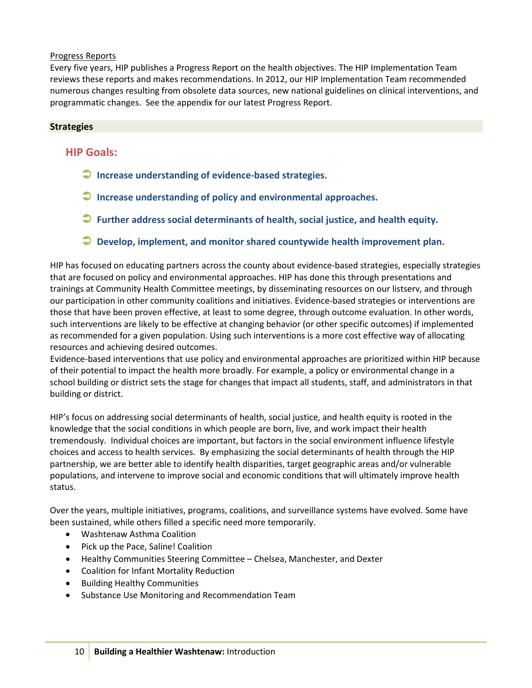#### Progress Reports

Every five years, HIP publishes a Progress Report on the health objectives. The HIP Implementation Team reviews these reports and makes recommendations. In 2012, our HIP Implementation Team recommended numerous changes resulting from obsolete data sources, new national guidelines on clinical interventions, and programmatic changes. See the appendix for our latest Progress Report.

### **Strategies**

## **HIP Goals:**

- **Increase understanding of evidence-based strategies.**
- **Increase understanding of policy and environmental approaches.**
- **Further address social determinants of health, social justice, and health equity.**
- **Develop, implement, and monitor shared countywide health improvement plan.**

HIP has focused on educating partners across the county about evidence-based strategies, especially strategies that are focused on policy and environmental approaches. HIP has done this through presentations and trainings at Community Health Committee meetings, by disseminating resources on our listserv, and through our participation in other community coalitions and initiatives. Evidence-based strategies or interventions are those that have been proven effective, at least to some degree, through outcome evaluation. In other words, such interventions are likely to be effective at changing behavior (or other specific outcomes) if implemented as recommended for a given population. Using such interventions is a more cost effective way of allocating resources and achieving desired outcomes.

Evidence-based interventions that use policy and environmental approaches are prioritized within HIP because of their potential to impact the health more broadly. For example, a policy or environmental change in a school building or district sets the stage for changes that impact all students, staff, and administrators in that building or district.

HIP's focus on addressing social determinants of health, social justice, and health equity is rooted in the knowledge that the social conditions in which people are born, live, and work impact their health tremendously. Individual choices are important, but factors in the social environment influence lifestyle choices and access to health services. By emphasizing the social determinants of health through the HIP partnership, we are better able to identify health disparities, target geographic areas and/or vulnerable populations, and intervene to improve social and economic conditions that will ultimately improve health status.

Over the years, multiple initiatives, programs, coalitions, and surveillance systems have evolved. Some have been sustained, while others filled a specific need more temporarily.

- Washtenaw Asthma Coalition
- Pick up the Pace, Saline! Coalition
- Healthy Communities Steering Committee Chelsea, Manchester, and Dexter
- Coalition for Infant Mortality Reduction
- Building Healthy Communities
- Substance Use Monitoring and Recommendation Team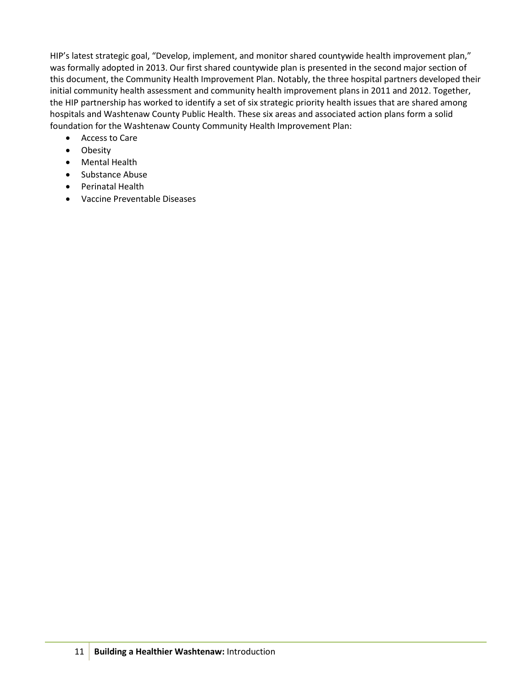HIP's latest strategic goal, "Develop, implement, and monitor shared countywide health improvement plan," was formally adopted in 2013. Our first shared countywide plan is presented in the second major section of this document, the Community Health Improvement Plan. Notably, the three hospital partners developed their initial community health assessment and community health improvement plans in 2011 and 2012. Together, the HIP partnership has worked to identify a set of six strategic priority health issues that are shared among hospitals and Washtenaw County Public Health. These six areas and associated action plans form a solid foundation for the Washtenaw County Community Health Improvement Plan:

- Access to Care
- Obesity
- Mental Health
- Substance Abuse
- Perinatal Health
- Vaccine Preventable Diseases